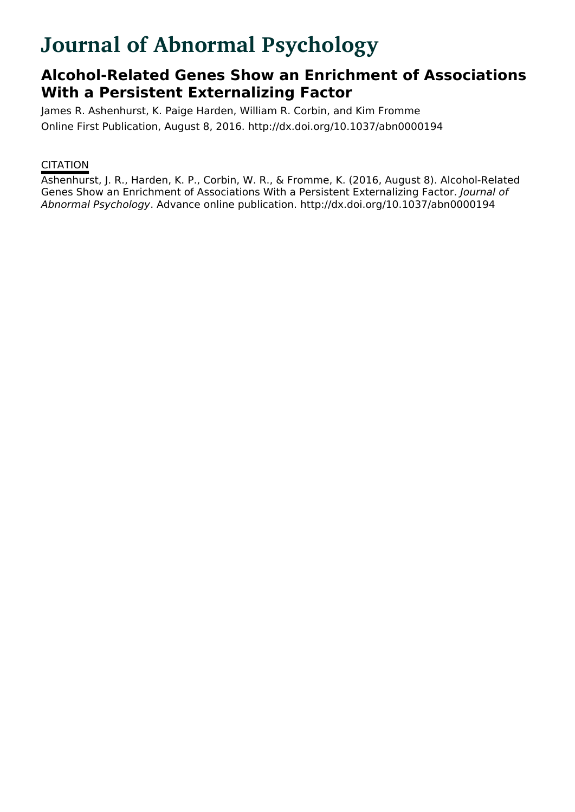# **Journal of Abnormal Psychology**

# **Alcohol-Related Genes Show an Enrichment of Associations With a Persistent Externalizing Factor**

James R. Ashenhurst, K. Paige Harden, William R. Corbin, and Kim Fromme Online First Publication, August 8, 2016. http://dx.doi.org/10.1037/abn0000194

# **CITATION**

Ashenhurst, J. R., Harden, K. P., Corbin, W. R., & Fromme, K. (2016, August 8). Alcohol-Related Genes Show an Enrichment of Associations With a Persistent Externalizing Factor. Journal of Abnormal Psychology. Advance online publication. http://dx.doi.org/10.1037/abn0000194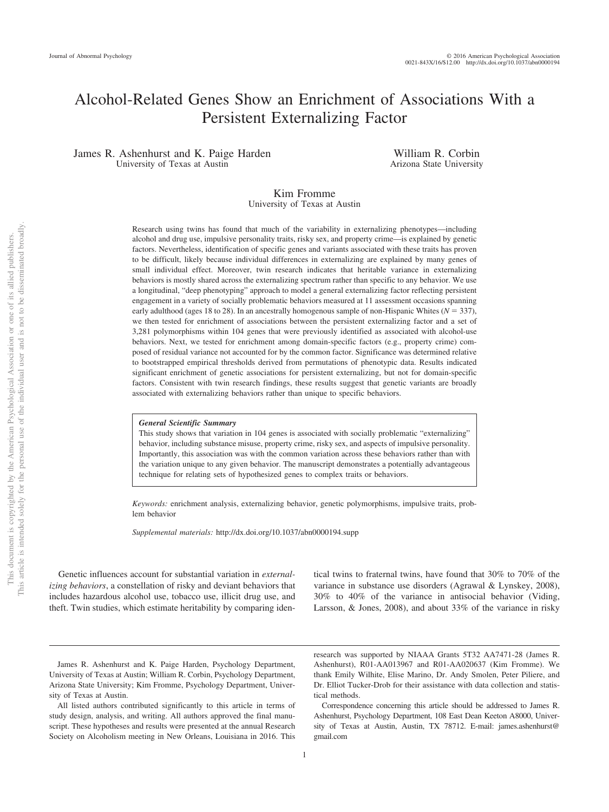# Alcohol-Related Genes Show an Enrichment of Associations With a Persistent Externalizing Factor

James R. Ashenhurst and K. Paige Harden University of Texas at Austin

William R. Corbin Arizona State University

#### Kim Fromme University of Texas at Austin

Research using twins has found that much of the variability in externalizing phenotypes—including alcohol and drug use, impulsive personality traits, risky sex, and property crime—is explained by genetic factors. Nevertheless, identification of specific genes and variants associated with these traits has proven to be difficult, likely because individual differences in externalizing are explained by many genes of small individual effect. Moreover, twin research indicates that heritable variance in externalizing behaviors is mostly shared across the externalizing spectrum rather than specific to any behavior. We use a longitudinal, "deep phenotyping" approach to model a general externalizing factor reflecting persistent engagement in a variety of socially problematic behaviors measured at 11 assessment occasions spanning early adulthood (ages 18 to 28). In an ancestrally homogenous sample of non-Hispanic Whites  $(N = 337)$ , we then tested for enrichment of associations between the persistent externalizing factor and a set of 3,281 polymorphisms within 104 genes that were previously identified as associated with alcohol-use behaviors. Next, we tested for enrichment among domain-specific factors (e.g., property crime) composed of residual variance not accounted for by the common factor. Significance was determined relative to bootstrapped empirical thresholds derived from permutations of phenotypic data. Results indicated significant enrichment of genetic associations for persistent externalizing, but not for domain-specific factors. Consistent with twin research findings, these results suggest that genetic variants are broadly associated with externalizing behaviors rather than unique to specific behaviors.

#### *General Scientific Summary*

This study shows that variation in 104 genes is associated with socially problematic "externalizing" behavior, including substance misuse, property crime, risky sex, and aspects of impulsive personality. Importantly, this association was with the common variation across these behaviors rather than with the variation unique to any given behavior. The manuscript demonstrates a potentially advantageous technique for relating sets of hypothesized genes to complex traits or behaviors.

*Keywords:* enrichment analysis, externalizing behavior, genetic polymorphisms, impulsive traits, problem behavior

*Supplemental materials:* http://dx.doi.org/10.1037/abn0000194.supp

Genetic influences account for substantial variation in *externalizing behaviors*, a constellation of risky and deviant behaviors that includes hazardous alcohol use, tobacco use, illicit drug use, and theft. Twin studies, which estimate heritability by comparing identical twins to fraternal twins, have found that 30% to 70% of the variance in substance use disorders (Agrawal & Lynskey, 2008), 30% to 40% of the variance in antisocial behavior (Viding, Larsson, & Jones, 2008), and about 33% of the variance in risky

James R. Ashenhurst and K. Paige Harden, Psychology Department, University of Texas at Austin; William R. Corbin, Psychology Department, Arizona State University; Kim Fromme, Psychology Department, University of Texas at Austin.

All listed authors contributed significantly to this article in terms of study design, analysis, and writing. All authors approved the final manuscript. These hypotheses and results were presented at the annual Research Society on Alcoholism meeting in New Orleans, Louisiana in 2016. This research was supported by NIAAA Grants 5T32 AA7471-28 (James R. Ashenhurst), R01-AA013967 and R01-AA020637 (Kim Fromme). We thank Emily Wilhite, Elise Marino, Dr. Andy Smolen, Peter Piliere, and Dr. Elliot Tucker-Drob for their assistance with data collection and statistical methods.

Correspondence concerning this article should be addressed to James R. Ashenhurst, Psychology Department, 108 East Dean Keeton A8000, University of Texas at Austin, Austin, TX 78712. E-mail: james.ashenhurst@ gmail.com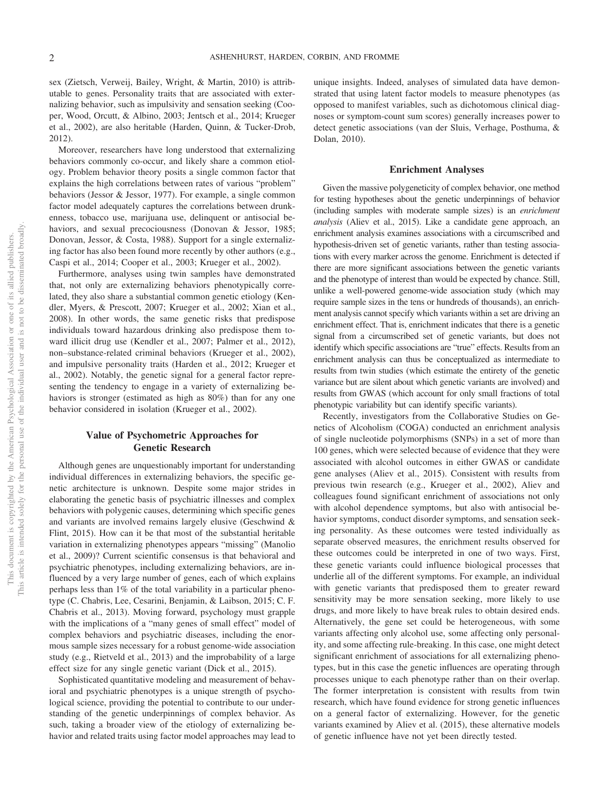sex (Zietsch, Verweij, Bailey, Wright, & Martin, 2010) is attributable to genes. Personality traits that are associated with externalizing behavior, such as impulsivity and sensation seeking (Cooper, Wood, Orcutt, & Albino, 2003; Jentsch et al., 2014; Krueger et al., 2002), are also heritable (Harden, Quinn, & Tucker-Drob, 2012).

Moreover, researchers have long understood that externalizing behaviors commonly co-occur, and likely share a common etiology. Problem behavior theory posits a single common factor that explains the high correlations between rates of various "problem" behaviors (Jessor & Jessor, 1977). For example, a single common factor model adequately captures the correlations between drunkenness, tobacco use, marijuana use, delinquent or antisocial behaviors, and sexual precociousness (Donovan & Jessor, 1985; Donovan, Jessor, & Costa, 1988). Support for a single externalizing factor has also been found more recently by other authors (e.g., Caspi et al., 2014; Cooper et al., 2003; Krueger et al., 2002).

Furthermore, analyses using twin samples have demonstrated that, not only are externalizing behaviors phenotypically correlated, they also share a substantial common genetic etiology (Kendler, Myers, & Prescott, 2007; Krueger et al., 2002; Xian et al., 2008). In other words, the same genetic risks that predispose individuals toward hazardous drinking also predispose them toward illicit drug use (Kendler et al., 2007; Palmer et al., 2012), non–substance-related criminal behaviors (Krueger et al., 2002), and impulsive personality traits (Harden et al., 2012; Krueger et al., 2002). Notably, the genetic signal for a general factor representing the tendency to engage in a variety of externalizing behaviors is stronger (estimated as high as 80%) than for any one behavior considered in isolation (Krueger et al., 2002).

## **Value of Psychometric Approaches for Genetic Research**

Although genes are unquestionably important for understanding individual differences in externalizing behaviors, the specific genetic architecture is unknown. Despite some major strides in elaborating the genetic basis of psychiatric illnesses and complex behaviors with polygenic causes, determining which specific genes and variants are involved remains largely elusive (Geschwind & Flint, 2015). How can it be that most of the substantial heritable variation in externalizing phenotypes appears "missing" (Manolio et al., 2009)? Current scientific consensus is that behavioral and psychiatric phenotypes, including externalizing behaviors, are influenced by a very large number of genes, each of which explains perhaps less than 1% of the total variability in a particular phenotype (C. Chabris, Lee, Cesarini, Benjamin, & Laibson, 2015; C. F. Chabris et al., 2013). Moving forward, psychology must grapple with the implications of a "many genes of small effect" model of complex behaviors and psychiatric diseases, including the enormous sample sizes necessary for a robust genome-wide association study (e.g., Rietveld et al., 2013) and the improbability of a large effect size for any single genetic variant (Dick et al., 2015).

Sophisticated quantitative modeling and measurement of behavioral and psychiatric phenotypes is a unique strength of psychological science, providing the potential to contribute to our understanding of the genetic underpinnings of complex behavior. As such, taking a broader view of the etiology of externalizing behavior and related traits using factor model approaches may lead to

unique insights. Indeed, analyses of simulated data have demonstrated that using latent factor models to measure phenotypes (as opposed to manifest variables, such as dichotomous clinical diagnoses or symptom-count sum scores) generally increases power to detect genetic associations (van der Sluis, Verhage, Posthuma, & Dolan, 2010).

#### **Enrichment Analyses**

Given the massive polygeneticity of complex behavior, one method for testing hypotheses about the genetic underpinnings of behavior (including samples with moderate sample sizes) is an *enrichment analysis* (Aliev et al., 2015). Like a candidate gene approach, an enrichment analysis examines associations with a circumscribed and hypothesis-driven set of genetic variants, rather than testing associations with every marker across the genome. Enrichment is detected if there are more significant associations between the genetic variants and the phenotype of interest than would be expected by chance. Still, unlike a well-powered genome-wide association study (which may require sample sizes in the tens or hundreds of thousands), an enrichment analysis cannot specify which variants within a set are driving an enrichment effect. That is, enrichment indicates that there is a genetic signal from a circumscribed set of genetic variants, but does not identify which specific associations are "true" effects. Results from an enrichment analysis can thus be conceptualized as intermediate to results from twin studies (which estimate the entirety of the genetic variance but are silent about which genetic variants are involved) and results from GWAS (which account for only small fractions of total phenotypic variability but can identify specific variants).

Recently, investigators from the Collaborative Studies on Genetics of Alcoholism (COGA) conducted an enrichment analysis of single nucleotide polymorphisms (SNPs) in a set of more than 100 genes, which were selected because of evidence that they were associated with alcohol outcomes in either GWAS or candidate gene analyses (Aliev et al., 2015). Consistent with results from previous twin research (e.g., Krueger et al., 2002), Aliev and colleagues found significant enrichment of associations not only with alcohol dependence symptoms, but also with antisocial behavior symptoms, conduct disorder symptoms, and sensation seeking personality. As these outcomes were tested individually as separate observed measures, the enrichment results observed for these outcomes could be interpreted in one of two ways. First, these genetic variants could influence biological processes that underlie all of the different symptoms. For example, an individual with genetic variants that predisposed them to greater reward sensitivity may be more sensation seeking, more likely to use drugs, and more likely to have break rules to obtain desired ends. Alternatively, the gene set could be heterogeneous, with some variants affecting only alcohol use, some affecting only personality, and some affecting rule-breaking. In this case, one might detect significant enrichment of associations for all externalizing phenotypes, but in this case the genetic influences are operating through processes unique to each phenotype rather than on their overlap. The former interpretation is consistent with results from twin research, which have found evidence for strong genetic influences on a general factor of externalizing. However, for the genetic variants examined by Aliev et al. (2015), these alternative models of genetic influence have not yet been directly tested.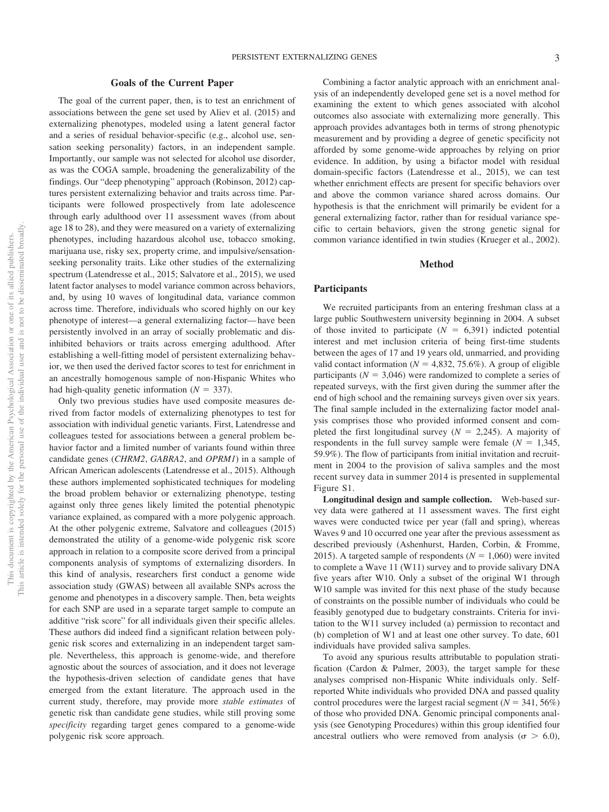#### **Goals of the Current Paper**

The goal of the current paper, then, is to test an enrichment of associations between the gene set used by Aliev et al. (2015) and externalizing phenotypes, modeled using a latent general factor and a series of residual behavior-specific (e.g., alcohol use, sensation seeking personality) factors, in an independent sample. Importantly, our sample was not selected for alcohol use disorder, as was the COGA sample, broadening the generalizability of the findings. Our "deep phenotyping" approach (Robinson, 2012) captures persistent externalizing behavior and traits across time. Participants were followed prospectively from late adolescence through early adulthood over 11 assessment waves (from about age 18 to 28), and they were measured on a variety of externalizing phenotypes, including hazardous alcohol use, tobacco smoking, marijuana use, risky sex, property crime, and impulsive/sensationseeking personality traits. Like other studies of the externalizing spectrum (Latendresse et al., 2015; Salvatore et al., 2015), we used latent factor analyses to model variance common across behaviors, and, by using 10 waves of longitudinal data, variance common across time. Therefore, individuals who scored highly on our key phenotype of interest—a general externalizing factor— have been persistently involved in an array of socially problematic and disinhibited behaviors or traits across emerging adulthood. After establishing a well-fitting model of persistent externalizing behavior, we then used the derived factor scores to test for enrichment in an ancestrally homogenous sample of non-Hispanic Whites who had high-quality genetic information  $(N = 337)$ .

Only two previous studies have used composite measures derived from factor models of externalizing phenotypes to test for association with individual genetic variants. First, Latendresse and colleagues tested for associations between a general problem behavior factor and a limited number of variants found within three candidate genes (*CHRM2*, *GABRA2*, and *OPRM1*) in a sample of African American adolescents (Latendresse et al., 2015). Although these authors implemented sophisticated techniques for modeling the broad problem behavior or externalizing phenotype, testing against only three genes likely limited the potential phenotypic variance explained, as compared with a more polygenic approach. At the other polygenic extreme, Salvatore and colleagues (2015) demonstrated the utility of a genome-wide polygenic risk score approach in relation to a composite score derived from a principal components analysis of symptoms of externalizing disorders. In this kind of analysis, researchers first conduct a genome wide association study (GWAS) between all available SNPs across the genome and phenotypes in a discovery sample. Then, beta weights for each SNP are used in a separate target sample to compute an additive "risk score" for all individuals given their specific alleles. These authors did indeed find a significant relation between polygenic risk scores and externalizing in an independent target sample. Nevertheless, this approach is genome-wide, and therefore agnostic about the sources of association, and it does not leverage the hypothesis-driven selection of candidate genes that have emerged from the extant literature. The approach used in the current study, therefore, may provide more *stable estimates* of genetic risk than candidate gene studies, while still proving some *specificity* regarding target genes compared to a genome-wide polygenic risk score approach.

Combining a factor analytic approach with an enrichment analysis of an independently developed gene set is a novel method for examining the extent to which genes associated with alcohol outcomes also associate with externalizing more generally. This approach provides advantages both in terms of strong phenotypic measurement and by providing a degree of genetic specificity not afforded by some genome-wide approaches by relying on prior evidence. In addition, by using a bifactor model with residual domain-specific factors (Latendresse et al., 2015), we can test whether enrichment effects are present for specific behaviors over and above the common variance shared across domains. Our hypothesis is that the enrichment will primarily be evident for a general externalizing factor, rather than for residual variance specific to certain behaviors, given the strong genetic signal for common variance identified in twin studies (Krueger et al., 2002).

#### **Method**

#### **Participants**

We recruited participants from an entering freshman class at a large public Southwestern university beginning in 2004. A subset of those invited to participate  $(N = 6,391)$  indicted potential interest and met inclusion criteria of being first-time students between the ages of 17 and 19 years old, unmarried, and providing valid contact information ( $N = 4,832,75.6\%$ ). A group of eligible participants ( $N = 3,046$ ) were randomized to complete a series of repeated surveys, with the first given during the summer after the end of high school and the remaining surveys given over six years. The final sample included in the externalizing factor model analysis comprises those who provided informed consent and completed the first longitudinal survey  $(N = 2,245)$ . A majority of respondents in the full survey sample were female  $(N = 1,345,$ 59.9%). The flow of participants from initial invitation and recruitment in 2004 to the provision of saliva samples and the most recent survey data in summer 2014 is presented in supplemental Figure S1.

**Longitudinal design and sample collection.** Web-based survey data were gathered at 11 assessment waves. The first eight waves were conducted twice per year (fall and spring), whereas Waves 9 and 10 occurred one year after the previous assessment as described previously (Ashenhurst, Harden, Corbin, & Fromme, 2015). A targeted sample of respondents  $(N = 1,060)$  were invited to complete a Wave 11 (W11) survey and to provide salivary DNA five years after W10. Only a subset of the original W1 through W10 sample was invited for this next phase of the study because of constraints on the possible number of individuals who could be feasibly genotyped due to budgetary constraints. Criteria for invitation to the W11 survey included (a) permission to recontact and (b) completion of W1 and at least one other survey. To date, 601 individuals have provided saliva samples.

To avoid any spurious results attributable to population stratification (Cardon & Palmer, 2003), the target sample for these analyses comprised non-Hispanic White individuals only. Selfreported White individuals who provided DNA and passed quality control procedures were the largest racial segment ( $N = 341, 56\%$ ) of those who provided DNA. Genomic principal components analysis (see Genotyping Procedures) within this group identified four ancestral outliers who were removed from analysis ( $\sigma > 6.0$ ),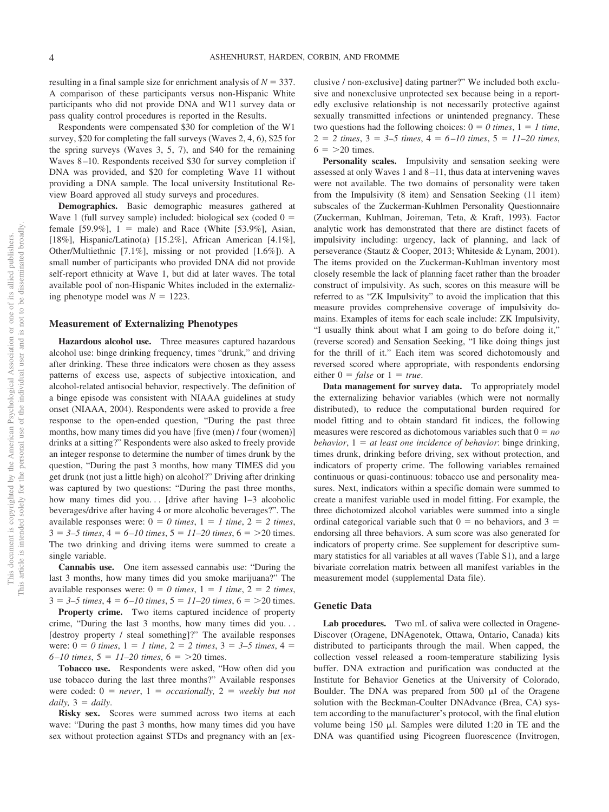resulting in a final sample size for enrichment analysis of  $N = 337$ . A comparison of these participants versus non-Hispanic White participants who did not provide DNA and W11 survey data or pass quality control procedures is reported in the Results.

Respondents were compensated \$30 for completion of the W1 survey, \$20 for completing the fall surveys (Waves 2, 4, 6), \$25 for the spring surveys (Waves 3, 5, 7), and \$40 for the remaining Waves 8 –10. Respondents received \$30 for survey completion if DNA was provided, and \$20 for completing Wave 11 without providing a DNA sample. The local university Institutional Review Board approved all study surveys and procedures.

**Demographics.** Basic demographic measures gathered at Wave 1 (full survey sample) included: biological sex (coded  $0 =$ female  $[59.9\%]$ ,  $1 =$  male) and Race (White  $[53.9\%]$ , Asian, [18%], Hispanic/Latino(a) [15.2%], African American [4.1%], Other/Multiethnic [7.1%], missing or not provided [1.6%]). A small number of participants who provided DNA did not provide self-report ethnicity at Wave 1, but did at later waves. The total available pool of non-Hispanic Whites included in the externalizing phenotype model was  $N = 1223$ .

#### **Measurement of Externalizing Phenotypes**

**Hazardous alcohol use.** Three measures captured hazardous alcohol use: binge drinking frequency, times "drunk," and driving after drinking. These three indicators were chosen as they assess patterns of excess use, aspects of subjective intoxication, and alcohol-related antisocial behavior, respectively. The definition of a binge episode was consistent with NIAAA guidelines at study onset (NIAAA, 2004). Respondents were asked to provide a free response to the open-ended question, "During the past three months, how many times did you have [five (men) / four (women)] drinks at a sitting?" Respondents were also asked to freely provide an integer response to determine the number of times drunk by the question, "During the past 3 months, how many TIMES did you get drunk (not just a little high) on alcohol?" Driving after drinking was captured by two questions: "During the past three months, how many times did you... [drive after having  $1-3$  alcoholic beverages/drive after having 4 or more alcoholic beverages?". The available responses were:  $0 = 0$  times,  $1 = 1$  time,  $2 = 2$  times,  $3 = 3-5$  times,  $4 = 6-10$  times,  $5 = 11-20$  times,  $6 = 20$  times. The two drinking and driving items were summed to create a single variable.

**Cannabis use.** One item assessed cannabis use: "During the last 3 months, how many times did you smoke marijuana?" The available responses were:  $0 = 0$  times,  $1 = 1$  time,  $2 = 2$  times,  $3 = 3-5$  times,  $4 = 6-10$  times,  $5 = 11-20$  times,  $6 = 20$  times.

**Property crime.** Two items captured incidence of property crime, "During the last 3 months, how many times did you. . . [destroy property / steal something]?" The available responses were:  $0 = 0$  times,  $1 = 1$  time,  $2 = 2$  times,  $3 = 3-5$  times,  $4 = 1$  $6 - 10$  times,  $5 = 11 - 20$  times,  $6 = 20$  times.

**Tobacco use.** Respondents were asked, "How often did you use tobacco during the last three months?" Available responses were coded:  $0 = never$ ,  $1 = occasionally$ ,  $2 = weekly but not$  $daily, 3 = daily.$ 

**Risky sex.** Scores were summed across two items at each wave: "During the past 3 months, how many times did you have sex without protection against STDs and pregnancy with an [exclusive / non-exclusive] dating partner?" We included both exclusive and nonexclusive unprotected sex because being in a reportedly exclusive relationship is not necessarily protective against sexually transmitted infections or unintended pregnancy. These two questions had the following choices:  $0 = 0$  times,  $1 = 1$  time,  $2 = 2 \text{ times}, 3 = 3-5 \text{ times}, 4 = 6-10 \text{ times}, 5 = 11-20 \text{ times},$  $6 = 20$  times.

**Personality scales.** Impulsivity and sensation seeking were assessed at only Waves 1 and 8 –11, thus data at intervening waves were not available. The two domains of personality were taken from the Impulsivity (8 item) and Sensation Seeking (11 item) subscales of the Zuckerman-Kuhlmen Personality Questionnaire (Zuckerman, Kuhlman, Joireman, Teta, & Kraft, 1993). Factor analytic work has demonstrated that there are distinct facets of impulsivity including: urgency, lack of planning, and lack of perseverance (Stautz & Cooper, 2013; Whiteside & Lynam, 2001). The items provided on the Zuckerman-Kuhlman inventory most closely resemble the lack of planning facet rather than the broader construct of impulsivity. As such, scores on this measure will be referred to as "ZK Impulsivity" to avoid the implication that this measure provides comprehensive coverage of impulsivity domains. Examples of items for each scale include: ZK Impulsivity, "I usually think about what I am going to do before doing it," (reverse scored) and Sensation Seeking, "I like doing things just for the thrill of it." Each item was scored dichotomously and reversed scored where appropriate, with respondents endorsing either  $0 = false$  or  $1 = true$ .

**Data management for survey data.** To appropriately model the externalizing behavior variables (which were not normally distributed), to reduce the computational burden required for model fitting and to obtain standard fit indices, the following measures were rescored as dichotomous variables such that  $0 = no$ *behavior*,  $1 = at least one incidence of behavior: binge drinking,$ times drunk, drinking before driving, sex without protection, and indicators of property crime. The following variables remained continuous or quasi-continuous: tobacco use and personality measures. Next, indicators within a specific domain were summed to create a manifest variable used in model fitting. For example, the three dichotomized alcohol variables were summed into a single ordinal categorical variable such that  $0 =$  no behaviors, and  $3 =$ endorsing all three behaviors. A sum score was also generated for indicators of property crime. See supplement for descriptive summary statistics for all variables at all waves (Table S1), and a large bivariate correlation matrix between all manifest variables in the measurement model (supplemental Data file).

#### **Genetic Data**

**Lab procedures.** Two mL of saliva were collected in Oragene-Discover (Oragene, DNAgenotek, Ottawa, Ontario, Canada) kits distributed to participants through the mail. When capped, the collection vessel released a room-temperature stabilizing lysis buffer. DNA extraction and purification was conducted at the Institute for Behavior Genetics at the University of Colorado, Boulder. The DNA was prepared from  $500 \mu l$  of the Oragene solution with the Beckman-Coulter DNAdvance (Brea, CA) system according to the manufacturer's protocol, with the final elution volume being  $150 \mu$ . Samples were diluted 1:20 in TE and the DNA was quantified using Picogreen fluorescence (Invitrogen,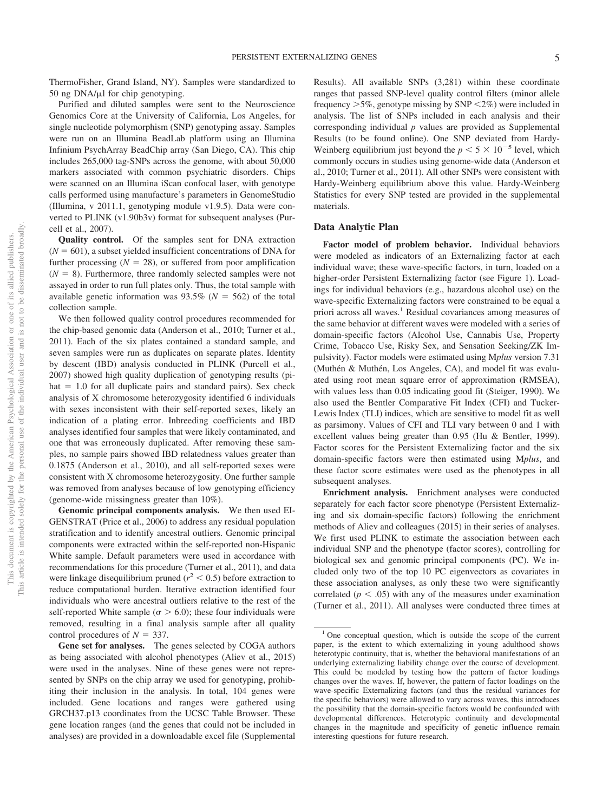ThermoFisher, Grand Island, NY). Samples were standardized to 50 ng  $DNA/\mu$  for chip genotyping.

Purified and diluted samples were sent to the Neuroscience Genomics Core at the University of California, Los Angeles, for single nucleotide polymorphism (SNP) genotyping assay. Samples were run on an Illumina BeadLab platform using an Illumina Infinium PsychArray BeadChip array (San Diego, CA). This chip includes 265,000 tag-SNPs across the genome, with about 50,000 markers associated with common psychiatric disorders. Chips were scanned on an Illumina iScan confocal laser, with genotype calls performed using manufacture's parameters in GenomeStudio (Illumina, v 2011.1, genotyping module v1.9.5). Data were converted to PLINK (v1.90b3v) format for subsequent analyses (Purcell et al., 2007).

**Quality control.** Of the samples sent for DNA extraction  $(N = 601)$ , a subset yielded insufficient concentrations of DNA for further processing  $(N = 28)$ , or suffered from poor amplification  $(N = 8)$ . Furthermore, three randomly selected samples were not assayed in order to run full plates only. Thus, the total sample with available genetic information was  $93.5\%$  ( $N = 562$ ) of the total collection sample.

We then followed quality control procedures recommended for the chip-based genomic data (Anderson et al., 2010; Turner et al., 2011). Each of the six plates contained a standard sample, and seven samples were run as duplicates on separate plates. Identity by descent (IBD) analysis conducted in PLINK (Purcell et al., 2007) showed high quality duplication of genotyping results (pi $hat = 1.0$  for all duplicate pairs and standard pairs). Sex check analysis of X chromosome heterozygosity identified 6 individuals with sexes inconsistent with their self-reported sexes, likely an indication of a plating error. Inbreeding coefficients and IBD analyses identified four samples that were likely contaminated, and one that was erroneously duplicated. After removing these samples, no sample pairs showed IBD relatedness values greater than 0.1875 (Anderson et al., 2010), and all self-reported sexes were consistent with X chromosome heterozygosity. One further sample was removed from analyses because of low genotyping efficiency (genome-wide missingness greater than 10%).

**Genomic principal components analysis.** We then used EI-GENSTRAT (Price et al., 2006) to address any residual population stratification and to identify ancestral outliers. Genomic principal components were extracted within the self-reported non-Hispanic White sample. Default parameters were used in accordance with recommendations for this procedure (Turner et al., 2011), and data were linkage disequilibrium pruned  $(r^2 < 0.5)$  before extraction to reduce computational burden. Iterative extraction identified four individuals who were ancestral outliers relative to the rest of the self-reported White sample ( $\sigma > 6.0$ ); these four individuals were removed, resulting in a final analysis sample after all quality control procedures of  $N = 337$ .

**Gene set for analyses.** The genes selected by COGA authors as being associated with alcohol phenotypes (Aliev et al., 2015) were used in the analyses. Nine of these genes were not represented by SNPs on the chip array we used for genotyping, prohibiting their inclusion in the analysis. In total, 104 genes were included. Gene locations and ranges were gathered using GRCH37.p13 coordinates from the UCSC Table Browser. These gene location ranges (and the genes that could not be included in analyses) are provided in a downloadable excel file (Supplemental Results). All available SNPs (3,281) within these coordinate ranges that passed SNP-level quality control filters (minor allele frequency  $>5\%$ , genotype missing by SNP  $<2\%$ ) were included in analysis. The list of SNPs included in each analysis and their corresponding individual *p* values are provided as Supplemental Results (to be found online). One SNP deviated from Hardy-Weinberg equilibrium just beyond the  $p < 5 \times 10^{-5}$  level, which commonly occurs in studies using genome-wide data (Anderson et al., 2010; Turner et al., 2011). All other SNPs were consistent with Hardy-Weinberg equilibrium above this value. Hardy-Weinberg Statistics for every SNP tested are provided in the supplemental materials.

#### **Data Analytic Plan**

**Factor model of problem behavior.** Individual behaviors were modeled as indicators of an Externalizing factor at each individual wave; these wave-specific factors, in turn, loaded on a higher-order Persistent Externalizing factor (see Figure 1). Loadings for individual behaviors (e.g., hazardous alcohol use) on the wave-specific Externalizing factors were constrained to be equal a priori across all waves.<sup>1</sup> Residual covariances among measures of the same behavior at different waves were modeled with a series of domain-specific factors (Alcohol Use, Cannabis Use, Property Crime, Tobacco Use, Risky Sex, and Sensation Seeking/ZK Impulsivity). Factor models were estimated using M*plus* version 7.31 (Muthén & Muthén, Los Angeles, CA), and model fit was evaluated using root mean square error of approximation (RMSEA), with values less than 0.05 indicating good fit (Steiger, 1990). We also used the Bentler Comparative Fit Index (CFI) and Tucker-Lewis Index (TLI) indices, which are sensitive to model fit as well as parsimony. Values of CFI and TLI vary between 0 and 1 with excellent values being greater than 0.95 (Hu & Bentler, 1999). Factor scores for the Persistent Externalizing factor and the six domain-specific factors were then estimated using M*plus*, and these factor score estimates were used as the phenotypes in all subsequent analyses.

**Enrichment analysis.** Enrichment analyses were conducted separately for each factor score phenotype (Persistent Externalizing and six domain-specific factors) following the enrichment methods of Aliev and colleagues (2015) in their series of analyses. We first used PLINK to estimate the association between each individual SNP and the phenotype (factor scores), controlling for biological sex and genomic principal components (PC). We included only two of the top 10 PC eigenvectors as covariates in these association analyses, as only these two were significantly correlated ( $p < .05$ ) with any of the measures under examination (Turner et al., 2011). All analyses were conducted three times at

 $1$  One conceptual question, which is outside the scope of the current paper, is the extent to which externalizing in young adulthood shows heterotypic continuity, that is, whether the behavioral manifestations of an underlying externalizing liability change over the course of development. This could be modeled by testing how the pattern of factor loadings changes over the waves. If, however, the pattern of factor loadings on the wave-specific Externalizing factors (and thus the residual variances for the specific behaviors) were allowed to vary across waves, this introduces the possibility that the domain-specific factors would be confounded with developmental differences. Heterotypic continuity and developmental changes in the magnitude and specificity of genetic influence remain interesting questions for future research.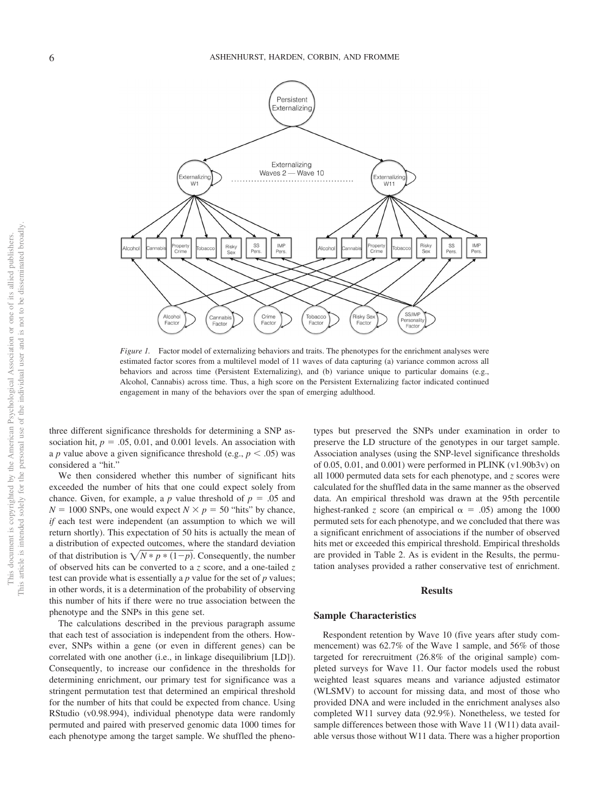

*Figure 1.* Factor model of externalizing behaviors and traits. The phenotypes for the enrichment analyses were estimated factor scores from a multilevel model of 11 waves of data capturing (a) variance common across all behaviors and across time (Persistent Externalizing), and (b) variance unique to particular domains (e.g., Alcohol, Cannabis) across time. Thus, a high score on the Persistent Externalizing factor indicated continued engagement in many of the behaviors over the span of emerging adulthood.

three different significance thresholds for determining a SNP association hit,  $p = .05, 0.01$ , and 0.001 levels. An association with a *p* value above a given significance threshold (e.g.,  $p < .05$ ) was considered a "hit."

We then considered whether this number of significant hits exceeded the number of hits that one could expect solely from chance. Given, for example, a  $p$  value threshold of  $p = .05$  and  $N = 1000$  SNPs, one would expect  $N \times p = 50$  "hits" by chance, *if* each test were independent (an assumption to which we will return shortly). This expectation of 50 hits is actually the mean of a distribution of expected outcomes, where the standard deviation of that distribution is  $\sqrt{N} * p * (1-p)$ . Consequently, the number of observed hits can be converted to a *z* score, and a one-tailed *z* test can provide what is essentially a *p* value for the set of *p* values; in other words, it is a determination of the probability of observing this number of hits if there were no true association between the phenotype and the SNPs in this gene set.

The calculations described in the previous paragraph assume that each test of association is independent from the others. However, SNPs within a gene (or even in different genes) can be correlated with one another (i.e., in linkage disequilibrium [LD]). Consequently, to increase our confidence in the thresholds for determining enrichment, our primary test for significance was a stringent permutation test that determined an empirical threshold for the number of hits that could be expected from chance. Using RStudio (v0.98.994), individual phenotype data were randomly permuted and paired with preserved genomic data 1000 times for each phenotype among the target sample. We shuffled the pheno-

types but preserved the SNPs under examination in order to preserve the LD structure of the genotypes in our target sample. Association analyses (using the SNP-level significance thresholds of 0.05, 0.01, and 0.001) were performed in PLINK (v1.90b3v) on all 1000 permuted data sets for each phenotype, and *z* scores were calculated for the shuffled data in the same manner as the observed data. An empirical threshold was drawn at the 95th percentile highest-ranked *z* score (an empirical  $\alpha = .05$ ) among the 1000 permuted sets for each phenotype, and we concluded that there was a significant enrichment of associations if the number of observed hits met or exceeded this empirical threshold. Empirical thresholds are provided in Table 2. As is evident in the Results, the permutation analyses provided a rather conservative test of enrichment.

#### **Results**

#### **Sample Characteristics**

Respondent retention by Wave 10 (five years after study commencement) was 62.7% of the Wave 1 sample, and 56% of those targeted for rerecruitment (26.8% of the original sample) completed surveys for Wave 11. Our factor models used the robust weighted least squares means and variance adjusted estimator (WLSMV) to account for missing data, and most of those who provided DNA and were included in the enrichment analyses also completed W11 survey data (92.9%). Nonetheless, we tested for sample differences between those with Wave 11 (W11) data available versus those without W11 data. There was a higher proportion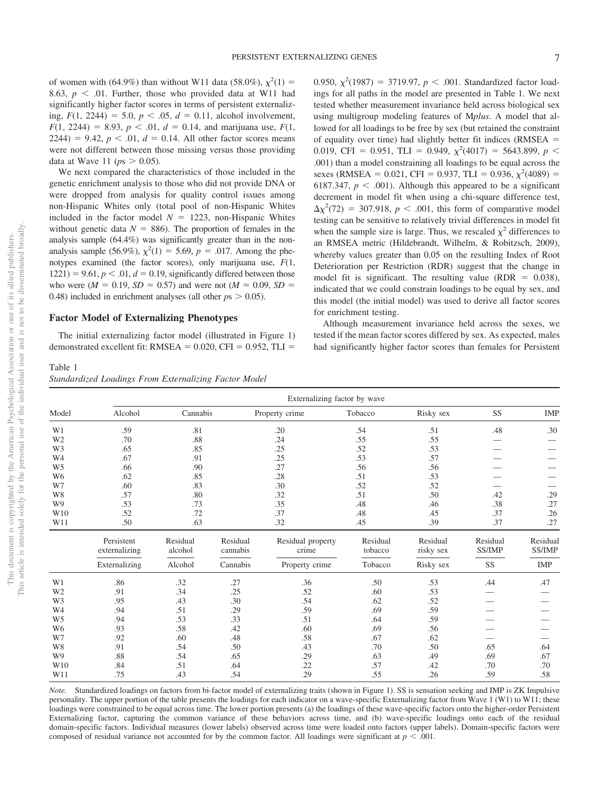of women with (64.9%) than without W11 data (58.0%),  $\chi^2(1) =$ 8.63,  $p < .01$ . Further, those who provided data at W11 had significantly higher factor scores in terms of persistent externalizing,  $F(1, 2244) = 5.0, p < .05, d = 0.11$ , alcohol involvement,  $F(1, 2244) = 8.93, p < .01, d = 0.14,$  and marijuana use,  $F(1, 2244) = 8.93, p < .01, d = 0.14$  $2244$ ) = 9.42,  $p < .01$ ,  $d = 0.14$ . All other factor scores means were not different between those missing versus those providing data at Wave 11 ( $ps > 0.05$ ).

We next compared the characteristics of those included in the genetic enrichment analysis to those who did not provide DNA or were dropped from analysis for quality control issues among non-Hispanic Whites only (total pool of non-Hispanic Whites included in the factor model  $N = 1223$ , non-Hispanic Whites without genetic data  $N = 886$ ). The proportion of females in the analysis sample (64.4%) was significantly greater than in the nonanalysis sample (56.9%),  $\chi^2(1) = 5.69$ ,  $p = .017$ . Among the phenotypes examined (the factor scores), only marijuana use, *F*(1,  $1221$ ) = 9.61,  $p < 0.01$ ,  $d = 0.19$ , significantly differed between those who were  $(M = 0.19, SD = 0.57)$  and were not  $(M = 0.09, SD =$ 0.48) included in enrichment analyses (all other  $p_s > 0.05$ ).

#### **Factor Model of Externalizing Phenotypes**

The initial externalizing factor model (illustrated in Figure 1) demonstrated excellent fit:  $RMSEA = 0.020$ ,  $CFI = 0.952$ ,  $TLI =$ 

#### Table 1 *Standardized Loadings From Externalizing Factor Model*

0.950,  $\chi^2(1987) = 3719.97$ ,  $p < .001$ . Standardized factor loadings for all paths in the model are presented in Table 1. We next tested whether measurement invariance held across biological sex using multigroup modeling features of M*plus*. A model that allowed for all loadings to be free by sex (but retained the constraint of equality over time) had slightly better fit indices (RMSEA  $=$ 0.019, CFI = 0.951, TLI = 0.949,  $\chi^2$ (4017) = 5643.899, *p* < .001) than a model constraining all loadings to be equal across the sexes (RMSEA = 0.021, CFI = 0.937, TLI = 0.936,  $\chi^2$ (4089) = 6187.347,  $p < .001$ ). Although this appeared to be a significant decrement in model fit when using a chi-square difference test,  $\Delta \chi^2$ (72) = 307.918, *p* < .001, this form of comparative model testing can be sensitive to relatively trivial differences in model fit when the sample size is large. Thus, we rescaled  $\chi^2$  differences to an RMSEA metric (Hildebrandt, Wilhelm, & Robitzsch, 2009), whereby values greater than 0.05 on the resulting Index of Root Deterioration per Restriction (RDR) suggest that the change in model fit is significant. The resulting value (RDR =  $0.038$ ), indicated that we could constrain loadings to be equal by sex, and this model (the initial model) was used to derive all factor scores for enrichment testing.

Although measurement invariance held across the sexes, we tested if the mean factor scores differed by sex. As expected, males had significantly higher factor scores than females for Persistent

|                | Externalizing factor by wave |                     |                      |                            |                     |                       |                    |                    |  |  |  |  |
|----------------|------------------------------|---------------------|----------------------|----------------------------|---------------------|-----------------------|--------------------|--------------------|--|--|--|--|
| Model          | Alcohol                      | Cannabis            | Property crime       |                            | Tobacco             | Risky sex             | <b>SS</b>          | <b>IMP</b>         |  |  |  |  |
| W1             | .59                          | .81                 | .20                  |                            | .54                 | .51                   | .48                | .30                |  |  |  |  |
| W <sub>2</sub> | .70                          | $.88\,$             | .24                  |                            | .55                 | .55                   |                    |                    |  |  |  |  |
| W <sub>3</sub> | .65                          | .85                 | .25                  |                            | .52                 | .53                   |                    |                    |  |  |  |  |
| W <sub>4</sub> | .67                          | .91                 | .25                  |                            | .53                 | .57                   |                    |                    |  |  |  |  |
| W <sub>5</sub> | .66                          | .90                 |                      | .27                        | .56                 | .56                   |                    |                    |  |  |  |  |
| W <sub>6</sub> | .62                          | .85                 |                      | .28                        | .51                 | .53                   |                    |                    |  |  |  |  |
| W7             | .60                          | .83                 | .30                  |                            | .52                 | .52                   |                    |                    |  |  |  |  |
| W8             | .57                          | .80                 | .32                  |                            | .51                 | .50                   | .42                | .29                |  |  |  |  |
| W9             | .53                          | .73                 | .35                  |                            | .48                 | .46                   | .38                | .27                |  |  |  |  |
| W10            | .52                          | .72                 | .37                  |                            | .48                 | .45                   | .37                | .26                |  |  |  |  |
| W11            | .50                          | .63                 |                      | .32                        | .45                 | .39                   | .37                | .27                |  |  |  |  |
|                | Persistent<br>externalizing  | Residual<br>alcohol | Residual<br>cannabis | Residual property<br>crime | Residual<br>tobacco | Residual<br>risky sex | Residual<br>SS/IMP | Residual<br>SS/IMP |  |  |  |  |
|                | Externalizing                | Alcohol             | Cannabis             | Property crime             | Tobacco             | Risky sex             | SS                 | IMP                |  |  |  |  |
| W1             | .86                          | .32                 | .27                  | .36                        | .50                 | .53                   | .44                | .47                |  |  |  |  |
| W <sub>2</sub> | .91                          | .34                 | .25                  | .52                        | .60                 | .53                   |                    |                    |  |  |  |  |
| W3             | .95                          | .43                 | .30                  | .54                        | .62                 | .52                   |                    |                    |  |  |  |  |
| W4             | .94                          | .51                 | .29                  | .59                        | .69                 | .59                   |                    |                    |  |  |  |  |
| W <sub>5</sub> | .94                          | .53                 | .33                  | .51                        | .64                 | .59                   |                    |                    |  |  |  |  |
| W <sub>6</sub> | .93                          | .58                 | .42                  | .60                        | .69                 | .56                   |                    |                    |  |  |  |  |
| W7             | .92                          | .60                 | .48                  | .58                        | .67                 | .62                   |                    |                    |  |  |  |  |
| W8             | .91                          | .54                 | .50                  | .43                        | .70                 | .50                   | .65                | .64                |  |  |  |  |
| W9             | .88                          | .54                 | .65                  | .29                        | .63                 | .49                   | .69                | .67                |  |  |  |  |
| W10            | .84                          | .51                 | .64                  | .22                        | .57                 | .42                   | .70                | .70                |  |  |  |  |
| W11            | .75                          | .43                 | .54                  | .29                        | .55                 | .26                   | .59                | .58                |  |  |  |  |

*Note.* Standardized loadings on factors from bi-factor model of externalizing traits (shown in Figure 1). SS is sensation seeking and IMP is ZK Impulsive personality. The upper portion of the table presents the loadings for each indicator on a wave-specific Externalizing factor from Wave 1 (W1) to W11; these loadings were constrained to be equal across time. The lower portion presents (a) the loadings of these wave-specific factors onto the higher-order Persistent Externalizing factor, capturing the common variance of these behaviors across time, and (b) wave-specific loadings onto each of the residual domain-specific factors. Individual measures (lower labels) observed across time were loaded onto factors (upper labels). Domain-specific factors were composed of residual variance not accounted for by the common factor. All loadings were significant at  $p < .001$ .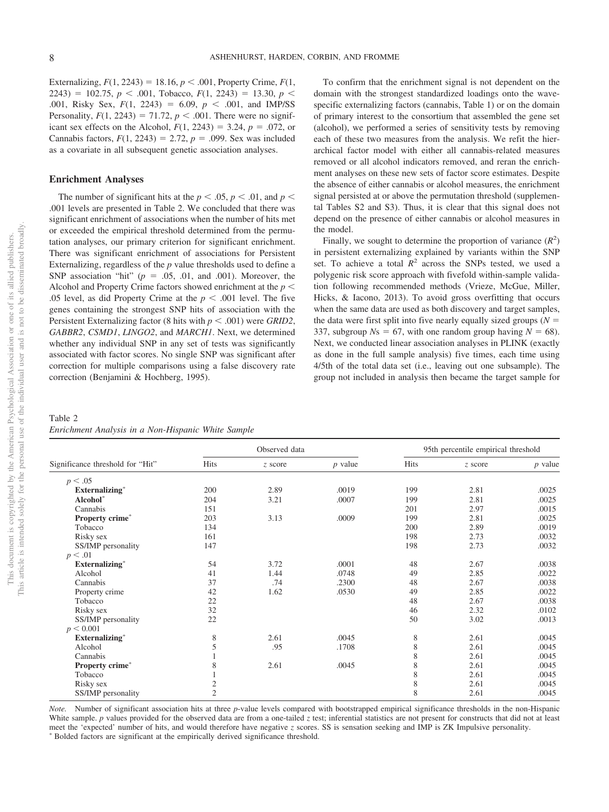Externalizing,  $F(1, 2243) = 18.16$ ,  $p < .001$ , Property Crime,  $F(1, 16)$  $2243$ ) = 102.75,  $p < .001$ , Tobacco,  $F(1, 2243) = 13.30$ ,  $p <$ .001, Risky Sex,  $F(1, 2243) = 6.09$ ,  $p < .001$ , and IMP/SS Personality,  $F(1, 2243) = 71.72$ ,  $p < .001$ . There were no significant sex effects on the Alcohol,  $F(1, 2243) = 3.24$ ,  $p = .072$ , or Cannabis factors,  $F(1, 2243) = 2.72$ ,  $p = .099$ . Sex was included as a covariate in all subsequent genetic association analyses.

#### **Enrichment Analyses**

The number of significant hits at the  $p < .05$ ,  $p < .01$ , and  $p <$ .001 levels are presented in Table 2. We concluded that there was significant enrichment of associations when the number of hits met or exceeded the empirical threshold determined from the permutation analyses, our primary criterion for significant enrichment. There was significant enrichment of associations for Persistent Externalizing, regardless of the *p* value thresholds used to define a SNP association "hit"  $(p = .05, .01, \text{ and } .001)$ . Moreover, the Alcohol and Property Crime factors showed enrichment at the *p* .05 level, as did Property Crime at the  $p < .001$  level. The five genes containing the strongest SNP hits of association with the Persistent Externalizing factor (8 hits with  $p < .001$ ) were *GRID2*, *GABBR2*, *CSMD1*, *LINGO2*, and *MARCH1*. Next, we determined whether any individual SNP in any set of tests was significantly associated with factor scores. No single SNP was significant after correction for multiple comparisons using a false discovery rate correction (Benjamini & Hochberg, 1995).

To confirm that the enrichment signal is not dependent on the domain with the strongest standardized loadings onto the wavespecific externalizing factors (cannabis, Table 1) or on the domain of primary interest to the consortium that assembled the gene set (alcohol), we performed a series of sensitivity tests by removing each of these two measures from the analysis. We refit the hierarchical factor model with either all cannabis-related measures removed or all alcohol indicators removed, and reran the enrichment analyses on these new sets of factor score estimates. Despite the absence of either cannabis or alcohol measures, the enrichment signal persisted at or above the permutation threshold (supplemental Tables S2 and S3). Thus, it is clear that this signal does not depend on the presence of either cannabis or alcohol measures in the model.

Finally, we sought to determine the proportion of variance  $(R^2)$ in persistent externalizing explained by variants within the SNP set. To achieve a total  $R^2$  across the SNPs tested, we used a polygenic risk score approach with fivefold within-sample validation following recommended methods (Vrieze, McGue, Miller, Hicks, & Iacono, 2013). To avoid gross overfitting that occurs when the same data are used as both discovery and target samples, the data were first split into five nearly equally sized groups  $(N =$ 337, subgroup  $N_s = 67$ , with one random group having  $N = 68$ ). Next, we conducted linear association analyses in PLINK (exactly as done in the full sample analysis) five times, each time using 4/5th of the total data set (i.e., leaving out one subsample). The group not included in analysis then became the target sample for

Table 2 *Enrichment Analysis in a Non-Hispanic White Sample*

|                                  |                | Observed data |           |      | 95th percentile empirical threshold |           |  |
|----------------------------------|----------------|---------------|-----------|------|-------------------------------------|-----------|--|
| Significance threshold for "Hit" | Hits           | z score       | $p$ value | Hits | z score                             | $p$ value |  |
| p < .05                          |                |               |           |      |                                     |           |  |
| <b>Externalizing*</b>            | 200            | 2.89          | .0019     | 199  | 2.81                                | .0025     |  |
| Alcohol*                         | 204            | 3.21          | .0007     | 199  | 2.81                                | .0025     |  |
| Cannabis                         | 151            |               |           | 201  | 2.97                                | .0015     |  |
| Property crime*                  | 203            | 3.13          | .0009     | 199  | 2.81                                | .0025     |  |
| Tobacco                          | 134            |               |           | 200  | 2.89                                | .0019     |  |
| Risky sex                        | 161            |               |           | 198  | 2.73                                | .0032     |  |
| SS/IMP personality               | 147            |               |           | 198  | 2.73                                | .0032     |  |
| p < .01                          |                |               |           |      |                                     |           |  |
| <b>Externalizing*</b>            | 54             | 3.72          | .0001     | 48   | 2.67                                | .0038     |  |
| Alcohol                          | 41             | 1.44          | .0748     | 49   | 2.85                                | .0022     |  |
| Cannabis                         | 37             | .74           | .2300     | 48   | 2.67                                | .0038     |  |
| Property crime                   | 42             | 1.62          | .0530     | 49   | 2.85                                | .0022     |  |
| Tobacco                          | 22             |               |           | 48   | 2.67                                | .0038     |  |
| Risky sex                        | 32             |               |           | 46   | 2.32                                | .0102     |  |
| SS/IMP personality               | 22             |               |           | 50   | 3.02                                | .0013     |  |
| p < 0.001                        |                |               |           |      |                                     |           |  |
| Externalizing*                   | 8              | 2.61          | .0045     | 8    | 2.61                                | .0045     |  |
| Alcohol                          | 5              | .95           | .1708     | 8    | 2.61                                | .0045     |  |
| Cannabis                         |                |               |           | 8    | 2.61                                | .0045     |  |
| Property crime*                  | 8              | 2.61          | .0045     | 8    | 2.61                                | .0045     |  |
| Tobacco                          |                |               |           | 8    | 2.61                                | .0045     |  |
| Risky sex                        | $\overline{c}$ |               |           | 8    | 2.61                                | .0045     |  |
| SS/IMP personality               | $\overline{c}$ |               |           | 8    | 2.61                                | .0045     |  |

*Note.* Number of significant association hits at three *p*-value levels compared with bootstrapped empirical significance thresholds in the non-Hispanic White sample.  $p$  values provided for the observed data are from a one-tailed  $z$  test; inferential statistics are not present for constructs that did not at least meet the 'expected' number of hits, and would therefore have negative *z* scores. SS is sensation seeking and IMP is ZK Impulsive personality. Bolded factors are significant at the empirically derived significance threshold.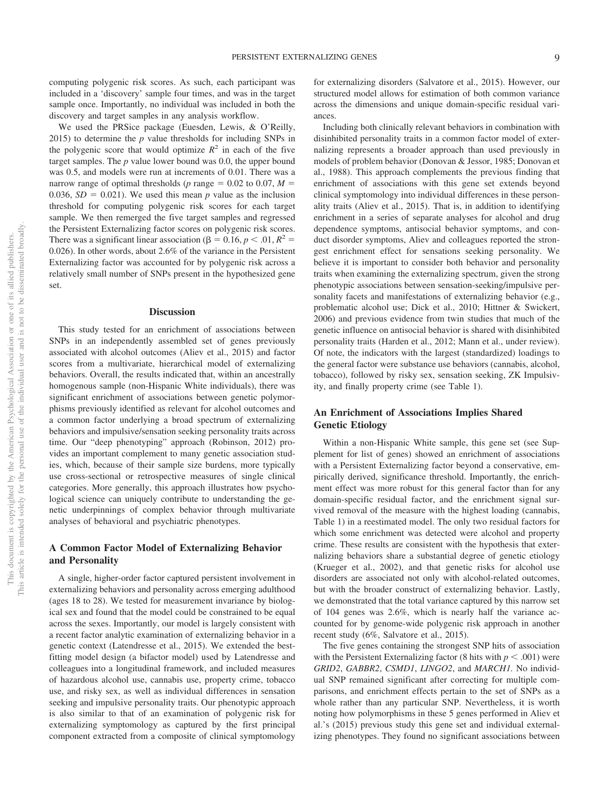computing polygenic risk scores. As such, each participant was included in a 'discovery' sample four times, and was in the target sample once. Importantly, no individual was included in both the discovery and target samples in any analysis workflow.

We used the PRSice package (Euesden, Lewis, & O'Reilly, 2015) to determine the *p* value thresholds for including SNPs in the polygenic score that would optimize  $R^2$  in each of the five target samples. The *p* value lower bound was 0.0, the upper bound was 0.5, and models were run at increments of 0.01. There was a narrow range of optimal thresholds ( $p$  range  $= 0.02$  to 0.07,  $M =$ 0.036,  $SD = 0.021$ ). We used this mean *p* value as the inclusion threshold for computing polygenic risk scores for each target sample. We then remerged the five target samples and regressed the Persistent Externalizing factor scores on polygenic risk scores. There was a significant linear association ( $\beta = 0.16$ ,  $p < .01$ ,  $R^2 =$ 0.026). In other words, about 2.6% of the variance in the Persistent Externalizing factor was accounted for by polygenic risk across a relatively small number of SNPs present in the hypothesized gene set.

#### **Discussion**

This study tested for an enrichment of associations between SNPs in an independently assembled set of genes previously associated with alcohol outcomes (Aliev et al., 2015) and factor scores from a multivariate, hierarchical model of externalizing behaviors. Overall, the results indicated that, within an ancestrally homogenous sample (non-Hispanic White individuals), there was significant enrichment of associations between genetic polymorphisms previously identified as relevant for alcohol outcomes and a common factor underlying a broad spectrum of externalizing behaviors and impulsive/sensation seeking personality traits across time. Our "deep phenotyping" approach (Robinson, 2012) provides an important complement to many genetic association studies, which, because of their sample size burdens, more typically use cross-sectional or retrospective measures of single clinical categories. More generally, this approach illustrates how psychological science can uniquely contribute to understanding the genetic underpinnings of complex behavior through multivariate analyses of behavioral and psychiatric phenotypes.

## **A Common Factor Model of Externalizing Behavior and Personality**

A single, higher-order factor captured persistent involvement in externalizing behaviors and personality across emerging adulthood (ages 18 to 28). We tested for measurement invariance by biological sex and found that the model could be constrained to be equal across the sexes. Importantly, our model is largely consistent with a recent factor analytic examination of externalizing behavior in a genetic context (Latendresse et al., 2015). We extended the bestfitting model design (a bifactor model) used by Latendresse and colleagues into a longitudinal framework, and included measures of hazardous alcohol use, cannabis use, property crime, tobacco use, and risky sex, as well as individual differences in sensation seeking and impulsive personality traits. Our phenotypic approach is also similar to that of an examination of polygenic risk for externalizing symptomology as captured by the first principal component extracted from a composite of clinical symptomology

for externalizing disorders (Salvatore et al., 2015). However, our structured model allows for estimation of both common variance across the dimensions and unique domain-specific residual variances.

Including both clinically relevant behaviors in combination with disinhibited personality traits in a common factor model of externalizing represents a broader approach than used previously in models of problem behavior (Donovan & Jessor, 1985; Donovan et al., 1988). This approach complements the previous finding that enrichment of associations with this gene set extends beyond clinical symptomology into individual differences in these personality traits (Aliev et al., 2015). That is, in addition to identifying enrichment in a series of separate analyses for alcohol and drug dependence symptoms, antisocial behavior symptoms, and conduct disorder symptoms, Aliev and colleagues reported the strongest enrichment effect for sensations seeking personality. We believe it is important to consider both behavior and personality traits when examining the externalizing spectrum, given the strong phenotypic associations between sensation-seeking/impulsive personality facets and manifestations of externalizing behavior (e.g., problematic alcohol use; Dick et al., 2010; Hittner & Swickert, 2006) and previous evidence from twin studies that much of the genetic influence on antisocial behavior is shared with disinhibited personality traits (Harden et al., 2012; Mann et al., under review). Of note, the indicators with the largest (standardized) loadings to the general factor were substance use behaviors (cannabis, alcohol, tobacco), followed by risky sex, sensation seeking, ZK Impulsivity, and finally property crime (see Table 1).

## **An Enrichment of Associations Implies Shared Genetic Etiology**

Within a non-Hispanic White sample, this gene set (see Supplement for list of genes) showed an enrichment of associations with a Persistent Externalizing factor beyond a conservative, empirically derived, significance threshold. Importantly, the enrichment effect was more robust for this general factor than for any domain-specific residual factor, and the enrichment signal survived removal of the measure with the highest loading (cannabis, Table 1) in a reestimated model. The only two residual factors for which some enrichment was detected were alcohol and property crime. These results are consistent with the hypothesis that externalizing behaviors share a substantial degree of genetic etiology (Krueger et al., 2002), and that genetic risks for alcohol use disorders are associated not only with alcohol-related outcomes, but with the broader construct of externalizing behavior. Lastly, we demonstrated that the total variance captured by this narrow set of 104 genes was 2.6%, which is nearly half the variance accounted for by genome-wide polygenic risk approach in another recent study (6%, Salvatore et al., 2015).

The five genes containing the strongest SNP hits of association with the Persistent Externalizing factor (8 hits with  $p < .001$ ) were *GRID2*, *GABBR2*, *CSMD1*, *LINGO2*, and *MARCH1.* No individual SNP remained significant after correcting for multiple comparisons, and enrichment effects pertain to the set of SNPs as a whole rather than any particular SNP. Nevertheless, it is worth noting how polymorphisms in these 5 genes performed in Aliev et al.'s (2015) previous study this gene set and individual externalizing phenotypes. They found no significant associations between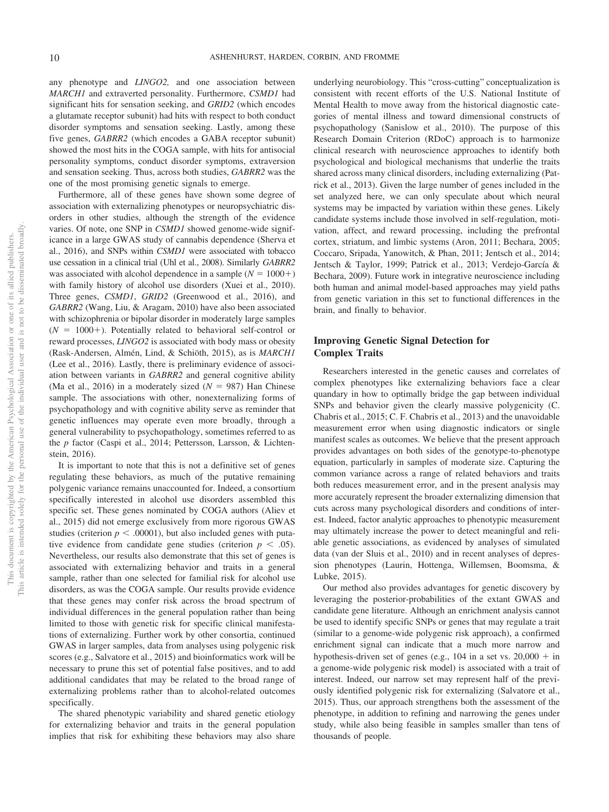any phenotype and *LINGO2,* and one association between *MARCH1* and extraverted personality. Furthermore, *CSMD1* had significant hits for sensation seeking, and *GRID2* (which encodes a glutamate receptor subunit) had hits with respect to both conduct disorder symptoms and sensation seeking. Lastly, among these five genes, *GABRR2* (which encodes a GABA receptor subunit) showed the most hits in the COGA sample, with hits for antisocial personality symptoms, conduct disorder symptoms, extraversion and sensation seeking. Thus, across both studies, *GABRR2* was the one of the most promising genetic signals to emerge.

Furthermore, all of these genes have shown some degree of association with externalizing phenotypes or neuropsychiatric disorders in other studies, although the strength of the evidence varies. Of note, one SNP in *CSMD1* showed genome-wide significance in a large GWAS study of cannabis dependence (Sherva et al., 2016), and SNPs within *CSMD1* were associated with tobacco use cessation in a clinical trial (Uhl et al., 2008). Similarly *GABRR2* was associated with alcohol dependence in a sample  $(N = 1000+)$ with family history of alcohol use disorders (Xuei et al., 2010). Three genes, *CSMD1*, *GRID2* (Greenwood et al., 2016), and *GABRR2* (Wang, Liu, & Aragam, 2010) have also been associated with schizophrenia or bipolar disorder in moderately large samples  $(N = 1000+)$ . Potentially related to behavioral self-control or reward processes, *LINGO2* is associated with body mass or obesity (Rask-Andersen, Almén, Lind, & Schiöth, 2015), as is *MARCH1* (Lee et al., 2016). Lastly, there is preliminary evidence of association between variants in *GABRR2* and general cognitive ability (Ma et al., 2016) in a moderately sized  $(N = 987)$  Han Chinese sample. The associations with other, nonexternalizing forms of psychopathology and with cognitive ability serve as reminder that genetic influences may operate even more broadly, through a general vulnerability to psychopathology, sometimes referred to as the *p* factor (Caspi et al., 2014; Pettersson, Larsson, & Lichtenstein, 2016).

It is important to note that this is not a definitive set of genes regulating these behaviors, as much of the putative remaining polygenic variance remains unaccounted for. Indeed, a consortium specifically interested in alcohol use disorders assembled this specific set. These genes nominated by COGA authors (Aliev et al., 2015) did not emerge exclusively from more rigorous GWAS studies (criterion  $p < .00001$ ), but also included genes with putative evidence from candidate gene studies (criterion  $p < .05$ ). Nevertheless, our results also demonstrate that this set of genes is associated with externalizing behavior and traits in a general sample, rather than one selected for familial risk for alcohol use disorders, as was the COGA sample. Our results provide evidence that these genes may confer risk across the broad spectrum of individual differences in the general population rather than being limited to those with genetic risk for specific clinical manifestations of externalizing. Further work by other consortia, continued GWAS in larger samples, data from analyses using polygenic risk scores (e.g., Salvatore et al., 2015) and bioinformatics work will be necessary to prune this set of potential false positives, and to add additional candidates that may be related to the broad range of externalizing problems rather than to alcohol-related outcomes specifically.

The shared phenotypic variability and shared genetic etiology for externalizing behavior and traits in the general population implies that risk for exhibiting these behaviors may also share underlying neurobiology. This "cross-cutting" conceptualization is consistent with recent efforts of the U.S. National Institute of Mental Health to move away from the historical diagnostic categories of mental illness and toward dimensional constructs of psychopathology (Sanislow et al., 2010). The purpose of this Research Domain Criterion (RDoC) approach is to harmonize clinical research with neuroscience approaches to identify both psychological and biological mechanisms that underlie the traits shared across many clinical disorders, including externalizing (Patrick et al., 2013). Given the large number of genes included in the set analyzed here, we can only speculate about which neural systems may be impacted by variation within these genes. Likely candidate systems include those involved in self-regulation, motivation, affect, and reward processing, including the prefrontal cortex, striatum, and limbic systems (Aron, 2011; Bechara, 2005; Coccaro, Sripada, Yanowitch, & Phan, 2011; Jentsch et al., 2014; Jentsch & Taylor, 1999; Patrick et al., 2013; Verdejo-García & Bechara, 2009). Future work in integrative neuroscience including both human and animal model-based approaches may yield paths from genetic variation in this set to functional differences in the brain, and finally to behavior.

# **Improving Genetic Signal Detection for Complex Traits**

Researchers interested in the genetic causes and correlates of complex phenotypes like externalizing behaviors face a clear quandary in how to optimally bridge the gap between individual SNPs and behavior given the clearly massive polygenicity (C. Chabris et al., 2015; C. F. Chabris et al., 2013) and the unavoidable measurement error when using diagnostic indicators or single manifest scales as outcomes. We believe that the present approach provides advantages on both sides of the genotype-to-phenotype equation, particularly in samples of moderate size. Capturing the common variance across a range of related behaviors and traits both reduces measurement error, and in the present analysis may more accurately represent the broader externalizing dimension that cuts across many psychological disorders and conditions of interest. Indeed, factor analytic approaches to phenotypic measurement may ultimately increase the power to detect meaningful and reliable genetic associations, as evidenced by analyses of simulated data (van der Sluis et al., 2010) and in recent analyses of depression phenotypes (Laurin, Hottenga, Willemsen, Boomsma, & Lubke, 2015).

Our method also provides advantages for genetic discovery by leveraging the posterior-probabilities of the extant GWAS and candidate gene literature. Although an enrichment analysis cannot be used to identify specific SNPs or genes that may regulate a trait (similar to a genome-wide polygenic risk approach), a confirmed enrichment signal can indicate that a much more narrow and hypothesis-driven set of genes (e.g.,  $104$  in a set vs.  $20,000 + in$ a genome-wide polygenic risk model) is associated with a trait of interest. Indeed, our narrow set may represent half of the previously identified polygenic risk for externalizing (Salvatore et al., 2015). Thus, our approach strengthens both the assessment of the phenotype, in addition to refining and narrowing the genes under study, while also being feasible in samples smaller than tens of thousands of people.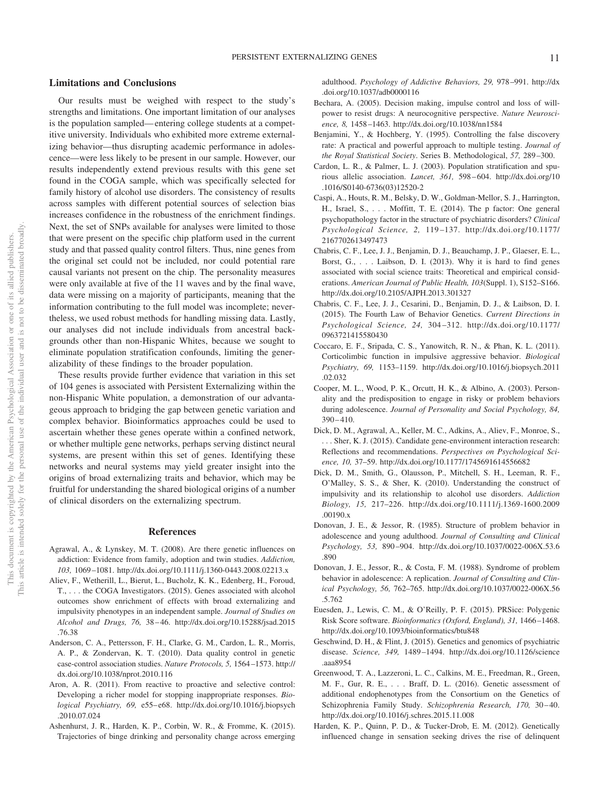#### **Limitations and Conclusions**

Our results must be weighed with respect to the study's strengths and limitations. One important limitation of our analyses is the population sampled— entering college students at a competitive university. Individuals who exhibited more extreme externalizing behavior—thus disrupting academic performance in adolescence—were less likely to be present in our sample. However, our results independently extend previous results with this gene set found in the COGA sample, which was specifically selected for family history of alcohol use disorders. The consistency of results across samples with different potential sources of selection bias increases confidence in the robustness of the enrichment findings. Next, the set of SNPs available for analyses were limited to those that were present on the specific chip platform used in the current study and that passed quality control filters. Thus, nine genes from the original set could not be included, nor could potential rare causal variants not present on the chip. The personality measures were only available at five of the 11 waves and by the final wave, data were missing on a majority of participants, meaning that the information contributing to the full model was incomplete; nevertheless, we used robust methods for handling missing data. Lastly, our analyses did not include individuals from ancestral backgrounds other than non-Hispanic Whites, because we sought to eliminate population stratification confounds, limiting the generalizability of these findings to the broader population.

These results provide further evidence that variation in this set of 104 genes is associated with Persistent Externalizing within the non-Hispanic White population, a demonstration of our advantageous approach to bridging the gap between genetic variation and complex behavior. Bioinformatics approaches could be used to ascertain whether these genes operate within a confined network, or whether multiple gene networks, perhaps serving distinct neural systems, are present within this set of genes. Identifying these networks and neural systems may yield greater insight into the origins of broad externalizing traits and behavior, which may be fruitful for understanding the shared biological origins of a number of clinical disorders on the externalizing spectrum.

#### **References**

- Agrawal, A., & Lynskey, M. T. (2008). Are there genetic influences on addiction: Evidence from family, adoption and twin studies. *Addiction, 103,* 1069 –1081. http://dx.doi.org/10.1111/j.1360-0443.2008.02213.x
- Aliev, F., Wetherill, L., Bierut, L., Bucholz, K. K., Edenberg, H., Foroud, T., . . . the COGA Investigators. (2015). Genes associated with alcohol outcomes show enrichment of effects with broad externalizing and impulsivity phenotypes in an independent sample. *Journal of Studies on Alcohol and Drugs, 76,* 38 – 46. http://dx.doi.org/10.15288/jsad.2015 .76.38
- Anderson, C. A., Pettersson, F. H., Clarke, G. M., Cardon, L. R., Morris, A. P., & Zondervan, K. T. (2010). Data quality control in genetic case-control association studies. *Nature Protocols, 5,* 1564 –1573. http:// dx.doi.org/10.1038/nprot.2010.116
- Aron, A. R. (2011). From reactive to proactive and selective control: Developing a richer model for stopping inappropriate responses. *Biological Psychiatry, 69,* e55– e68. http://dx.doi.org/10.1016/j.biopsych .2010.07.024
- Ashenhurst, J. R., Harden, K. P., Corbin, W. R., & Fromme, K. (2015). Trajectories of binge drinking and personality change across emerging

adulthood. *Psychology of Addictive Behaviors, 29,* 978 –991. http://dx .doi.org/10.1037/adb0000116

- Bechara, A. (2005). Decision making, impulse control and loss of willpower to resist drugs: A neurocognitive perspective. *Nature Neuroscience, 8,* 1458 –1463. http://dx.doi.org/10.1038/nn1584
- Benjamini, Y., & Hochberg, Y. (1995). Controlling the false discovery rate: A practical and powerful approach to multiple testing. *Journal of the Royal Statistical Society*. Series B. Methodological, *57,* 289 –300.
- Cardon, L. R., & Palmer, L. J. (2003). Population stratification and spurious allelic association. *Lancet, 361,* 598 – 604. http://dx.doi.org/10 .1016/S0140-6736(03)12520-2
- Caspi, A., Houts, R. M., Belsky, D. W., Goldman-Mellor, S. J., Harrington, H., Israel, S.,... Moffitt, T. E. (2014). The p factor: One general psychopathology factor in the structure of psychiatric disorders? *Clinical Psychological Science, 2,* 119 –137. http://dx.doi.org/10.1177/ 2167702613497473
- Chabris, C. F., Lee, J. J., Benjamin, D. J., Beauchamp, J. P., Glaeser, E. L., Borst, G., ... Laibson, D. I. (2013). Why it is hard to find genes associated with social science traits: Theoretical and empirical considerations. *American Journal of Public Health, 103*(Suppl. 1), S152–S166. http://dx.doi.org/10.2105/AJPH.2013.301327
- Chabris, C. F., Lee, J. J., Cesarini, D., Benjamin, D. J., & Laibson, D. I. (2015). The Fourth Law of Behavior Genetics. *Current Directions in Psychological Science, 24,* 304 –312. http://dx.doi.org/10.1177/ 0963721415580430
- Coccaro, E. F., Sripada, C. S., Yanowitch, R. N., & Phan, K. L. (2011). Corticolimbic function in impulsive aggressive behavior. *Biological Psychiatry, 69,* 1153–1159. http://dx.doi.org/10.1016/j.biopsych.2011 .02.032
- Cooper, M. L., Wood, P. K., Orcutt, H. K., & Albino, A. (2003). Personality and the predisposition to engage in risky or problem behaviors during adolescence. *Journal of Personality and Social Psychology, 84,*  $390 - 410.$
- Dick, D. M., Agrawal, A., Keller, M. C., Adkins, A., Aliev, F., Monroe, S., . . . Sher, K. J. (2015). Candidate gene-environment interaction research: Reflections and recommendations. *Perspectives on Psychological Science, 10,* 37–59. http://dx.doi.org/10.1177/1745691614556682
- Dick, D. M., Smith, G., Olausson, P., Mitchell, S. H., Leeman, R. F., O'Malley, S. S., & Sher, K. (2010). Understanding the construct of impulsivity and its relationship to alcohol use disorders. *Addiction Biology, 15,* 217–226. http://dx.doi.org/10.1111/j.1369-1600.2009 .00190.x
- Donovan, J. E., & Jessor, R. (1985). Structure of problem behavior in adolescence and young adulthood. *Journal of Consulting and Clinical Psychology, 53,* 890 –904. http://dx.doi.org/10.1037/0022-006X.53.6 .890
- Donovan, J. E., Jessor, R., & Costa, F. M. (1988). Syndrome of problem behavior in adolescence: A replication. *Journal of Consulting and Clinical Psychology, 56,* 762–765. http://dx.doi.org/10.1037/0022-006X.56 .5.762
- Euesden, J., Lewis, C. M., & O'Reilly, P. F. (2015). PRSice: Polygenic Risk Score software. *Bioinformatics (Oxford, England), 31,* 1466 –1468. http://dx.doi.org/10.1093/bioinformatics/btu848
- Geschwind, D. H., & Flint, J. (2015). Genetics and genomics of psychiatric disease. *Science, 349,* 1489 –1494. http://dx.doi.org/10.1126/science .aaa8954
- Greenwood, T. A., Lazzeroni, L. C., Calkins, M. E., Freedman, R., Green, M. F., Gur, R. E.,... Braff, D. L. (2016). Genetic assessment of additional endophenotypes from the Consortium on the Genetics of Schizophrenia Family Study. *Schizophrenia Research, 170, 30-40*. http://dx.doi.org/10.1016/j.schres.2015.11.008
- Harden, K. P., Quinn, P. D., & Tucker-Drob, E. M. (2012). Genetically influenced change in sensation seeking drives the rise of delinquent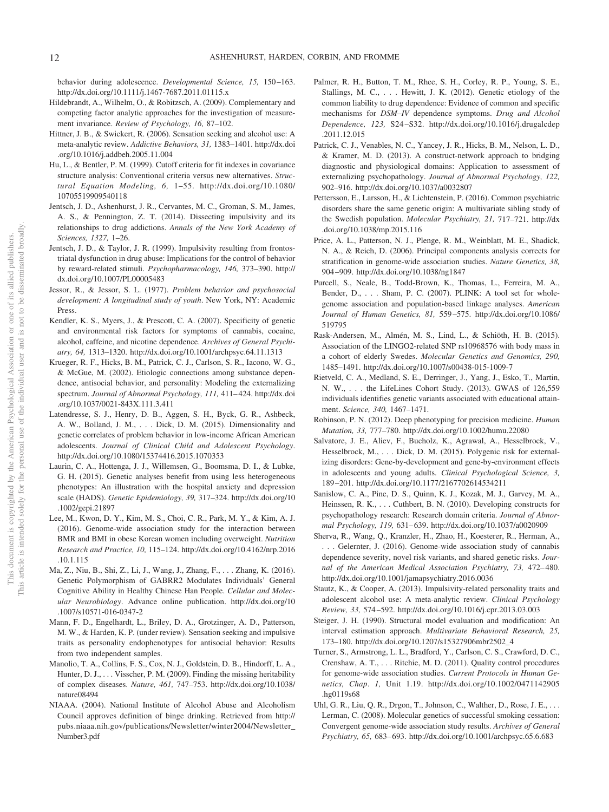behavior during adolescence. *Developmental Science, 15,* 150 –163. http://dx.doi.org/10.1111/j.1467-7687.2011.01115.x

- Hildebrandt, A., Wilhelm, O., & Robitzsch, A. (2009). Complementary and competing factor analytic approaches for the investigation of measurement invariance. *Review of Psychology, 16,* 87–102.
- Hittner, J. B., & Swickert, R. (2006). Sensation seeking and alcohol use: A meta-analytic review. *Addictive Behaviors, 31,* 1383–1401. http://dx.doi .org/10.1016/j.addbeh.2005.11.004
- Hu, L., & Bentler, P. M. (1999). Cutoff criteria for fit indexes in covariance structure analysis: Conventional criteria versus new alternatives. *Structural Equation Modeling, 6,* 1–55. http://dx.doi.org/10.1080/ 10705519909540118
- Jentsch, J. D., Ashenhurst, J. R., Cervantes, M. C., Groman, S. M., James, A. S., & Pennington, Z. T. (2014). Dissecting impulsivity and its relationships to drug addictions. *Annals of the New York Academy of Sciences, 1327,* 1–26.
- Jentsch, J. D., & Taylor, J. R. (1999). Impulsivity resulting from frontostriatal dysfunction in drug abuse: Implications for the control of behavior by reward-related stimuli. *Psychopharmacology, 146,* 373–390. http:// dx.doi.org/10.1007/PL00005483
- Jessor, R., & Jessor, S. L. (1977). *Problem behavior and psychosocial development: A longitudinal study of youth*. New York, NY: Academic Press.
- Kendler, K. S., Myers, J., & Prescott, C. A. (2007). Specificity of genetic and environmental risk factors for symptoms of cannabis, cocaine, alcohol, caffeine, and nicotine dependence. *Archives of General Psychiatry, 64,* 1313–1320. http://dx.doi.org/10.1001/archpsyc.64.11.1313
- Krueger, R. F., Hicks, B. M., Patrick, C. J., Carlson, S. R., Iacono, W. G., & McGue, M. (2002). Etiologic connections among substance dependence, antisocial behavior, and personality: Modeling the externalizing spectrum. *Journal of Abnormal Psychology, 111,* 411– 424. http://dx.doi .org/10.1037/0021-843X.111.3.411
- Latendresse, S. J., Henry, D. B., Aggen, S. H., Byck, G. R., Ashbeck, A. W., Bolland, J. M.,... Dick, D. M. (2015). Dimensionality and genetic correlates of problem behavior in low-income African American adolescents. *Journal of Clinical Child and Adolescent Psychology*. http://dx.doi.org/10.1080/15374416.2015.1070353
- Laurin, C. A., Hottenga, J. J., Willemsen, G., Boomsma, D. I., & Lubke, G. H. (2015). Genetic analyses benefit from using less heterogeneous phenotypes: An illustration with the hospital anxiety and depression scale (HADS). *Genetic Epidemiology, 39,* 317–324. http://dx.doi.org/10 .1002/gepi.21897
- Lee, M., Kwon, D. Y., Kim, M. S., Choi, C. R., Park, M. Y., & Kim, A. J. (2016). Genome-wide association study for the interaction between BMR and BMI in obese Korean women including overweight. *Nutrition Research and Practice, 10,* 115–124. http://dx.doi.org/10.4162/nrp.2016 .10.1.115
- Ma, Z., Niu, B., Shi, Z., Li, J., Wang, J., Zhang, F.,... Zhang, K. (2016). Genetic Polymorphism of GABRR2 Modulates Individuals' General Cognitive Ability in Healthy Chinese Han People. *Cellular and Molecular Neurobiology*. Advance online publication. http://dx.doi.org/10 .1007/s10571-016-0347-2
- Mann, F. D., Engelhardt, L., Briley, D. A., Grotzinger, A. D., Patterson, M. W., & Harden, K. P. (under review). Sensation seeking and impulsive traits as personality endophenotypes for antisocial behavior: Results from two independent samples.
- Manolio, T. A., Collins, F. S., Cox, N. J., Goldstein, D. B., Hindorff, L. A., Hunter, D. J.,... Visscher, P. M. (2009). Finding the missing heritability of complex diseases. *Nature, 461,* 747–753. http://dx.doi.org/10.1038/ nature08494
- NIAAA. (2004). National Institute of Alcohol Abuse and Alcoholism Council approves definition of binge drinking. Retrieved from http:// pubs.niaaa.nih.gov/publications/Newsletter/winter2004/Newsletter\_ Number3.pdf
- Palmer, R. H., Button, T. M., Rhee, S. H., Corley, R. P., Young, S. E., Stallings, M. C.,... Hewitt, J. K. (2012). Genetic etiology of the common liability to drug dependence: Evidence of common and specific mechanisms for *DSM–IV* dependence symptoms. *Drug and Alcohol Dependence, 123,* S24 –S32. http://dx.doi.org/10.1016/j.drugalcdep .2011.12.015
- Patrick, C. J., Venables, N. C., Yancey, J. R., Hicks, B. M., Nelson, L. D., & Kramer, M. D. (2013). A construct-network approach to bridging diagnostic and physiological domains: Application to assessment of externalizing psychopathology. *Journal of Abnormal Psychology, 122,* 902–916. http://dx.doi.org/10.1037/a0032807
- Pettersson, E., Larsson, H., & Lichtenstein, P. (2016). Common psychiatric disorders share the same genetic origin: A multivariate sibling study of the Swedish population. *Molecular Psychiatry, 21,* 717–721. http://dx .doi.org/10.1038/mp.2015.116
- Price, A. L., Patterson, N. J., Plenge, R. M., Weinblatt, M. E., Shadick, N. A., & Reich, D. (2006). Principal components analysis corrects for stratification in genome-wide association studies. *Nature Genetics, 38,* 904 –909. http://dx.doi.org/10.1038/ng1847
- Purcell, S., Neale, B., Todd-Brown, K., Thomas, L., Ferreira, M. A., Bender, D., ... Sham, P. C. (2007). PLINK: A tool set for wholegenome association and population-based linkage analyses. *American Journal of Human Genetics, 81,* 559 –575. http://dx.doi.org/10.1086/ 519795
- Rask-Andersen, M., Almén, M. S., Lind, L., & Schiöth, H. B. (2015). Association of the LINGO2-related SNP rs10968576 with body mass in a cohort of elderly Swedes. *Molecular Genetics and Genomics, 290,* 1485–1491. http://dx.doi.org/10.1007/s00438-015-1009-7
- Rietveld, C. A., Medland, S. E., Derringer, J., Yang, J., Esko, T., Martin, N. W., . . . the LifeLines Cohort Study. (2013). GWAS of 126,559 individuals identifies genetic variants associated with educational attainment. *Science, 340,* 1467–1471.
- Robinson, P. N. (2012). Deep phenotyping for precision medicine. *Human Mutation, 33,* 777–780. http://dx.doi.org/10.1002/humu.22080
- Salvatore, J. E., Aliev, F., Bucholz, K., Agrawal, A., Hesselbrock, V., Hesselbrock, M., . . . Dick, D. M. (2015). Polygenic risk for externalizing disorders: Gene-by-development and gene-by-environment effects in adolescents and young adults. *Clinical Psychological Science, 3,* 189 –201. http://dx.doi.org/10.1177/2167702614534211
- Sanislow, C. A., Pine, D. S., Quinn, K. J., Kozak, M. J., Garvey, M. A., Heinssen, R. K., ... Cuthbert, B. N. (2010). Developing constructs for psychopathology research: Research domain criteria. *Journal of Abnormal Psychology, 119,* 631– 639. http://dx.doi.org/10.1037/a0020909
- Sherva, R., Wang, Q., Kranzler, H., Zhao, H., Koesterer, R., Herman, A., . . . Gelernter, J. (2016). Genome-wide association study of cannabis dependence severity, novel risk variants, and shared genetic risks. *Journal of the American Medical Association Psychiatry, 73,* 472– 480. http://dx.doi.org/10.1001/jamapsychiatry.2016.0036
- Stautz, K., & Cooper, A. (2013). Impulsivity-related personality traits and adolescent alcohol use: A meta-analytic review. *Clinical Psychology Review, 33,* 574 –592. http://dx.doi.org/10.1016/j.cpr.2013.03.003
- Steiger, J. H. (1990). Structural model evaluation and modification: An interval estimation approach. *Multivariate Behavioral Research, 25,* 173–180. http://dx.doi.org/10.1207/s15327906mbr2502\_4
- Turner, S., Armstrong, L. L., Bradford, Y., Carlson, C. S., Crawford, D. C., Crenshaw, A. T.,... Ritchie, M. D. (2011). Quality control procedures for genome-wide association studies. *Current Protocols in Human Genetics, Chap*. *1,* Unit 1.19. http://dx.doi.org/10.1002/0471142905 .hg0119s68
- Uhl, G. R., Liu, Q. R., Drgon, T., Johnson, C., Walther, D., Rose, J. E.,... Lerman, C. (2008). Molecular genetics of successful smoking cessation: Convergent genome-wide association study results. *Archives of General Psychiatry, 65,* 683– 693. http://dx.doi.org/10.1001/archpsyc.65.6.683